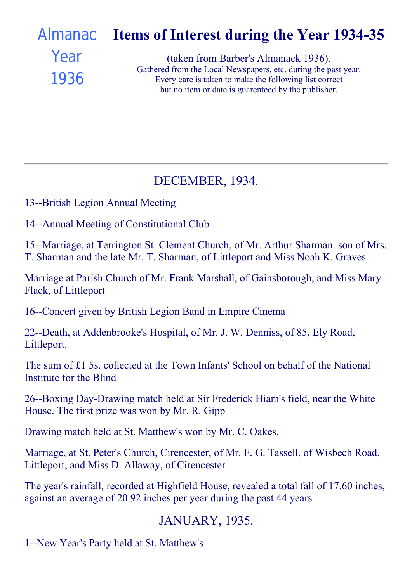#### Items of Interest during the Year 1934-35 (taken from Barber's Almanack 1936). [Almanac](file:///C:/FrontPage%20Webs/Content/images/almanack/advert1936.jpg) Year

1936

Gathered from the Local Newspapers, etc. during the past year. Every care is taken to make the following list correct but no item or date is guarenteed by the publisher.

## DECEMBER, 1934.

13--British Legion Annual Meeting

14--Annual Meeting of Constitutional Club

15--Marriage, at Terrington St. Clement Church, of Mr. Arthur Sharman. son of Mrs. T. Sharman and the late Mr. T. Sharman, of Littleport and Miss Noah K. Graves.

Marriage at Parish Church of Mr. Frank Marshall, of Gainsborough, and Miss Mary Flack, of Littleport

16--Concert given by British Legion Band in Empire Cinema

22--Death, at Addenbrooke's Hospital, of Mr. J. W. Denniss, of 85, Ely Road, Littleport.

The sum of £1 5s. collected at the Town Infants' School on behalf of the National Institute for the Blind

26--Boxing Day-Drawing match held at Sir Frederick Hiam's field, near the White House. The first prize was won by Mr. R. Gipp

Drawing match held at St. Matthew's won by Mr. C. Oakes.

Marriage, at St. Peter's Church, Cirencester, of Mr. F. G. Tassell, of Wisbech Road, Littleport, and Miss D. Allaway, of Cirencester

The year's rainfall, recorded at Highfield House, revealed a total fall of 17.60 inches, against an average of 20.92 inches per year during the past 44 years

## JANUARY, 1935.

1--New Year's Party held at St. Matthew's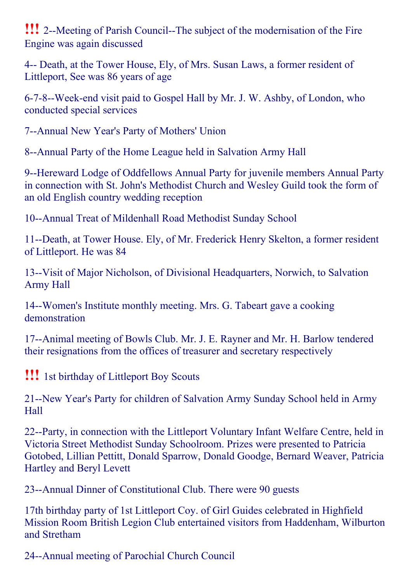!!! 2--Meeting of Parish Council--The subject of the modernisation of the Fire Engine was again discussed

4-- Death, at the Tower House, Ely, of Mrs. Susan Laws, a former resident of Littleport, See was 86 years of age

6-7-8--Week-end visit paid to Gospel Hall by Mr. J. W. Ashby, of London, who conducted special services

7--Annual New Year's Party of Mothers' Union

8--Annual Party of the Home League held in Salvation Army Hall

9--Hereward Lodge of Oddfellows Annual Party for juvenile members Annual Party in connection with St. John's Methodist Church and Wesley Guild took the form of an old English country wedding reception

10--Annual Treat of Mildenhall Road Methodist Sunday School

11--Death, at Tower House. Ely, of Mr. Frederick Henry Skelton, a former resident of Littleport. He was 84

13--Visit of Major Nicholson, of Divisional Headquarters, Norwich, to Salvation Army Hall

14--Women's Institute monthly meeting. Mrs. G. Tabeart gave a cooking demonstration

17--Animal meeting of Bowls Club. Mr. J. E. Rayner and Mr. H. Barlow tendered their resignations from the offices of treasurer and secretary respectively

!!! 1st birthday of Littleport Boy Scouts

21--New Year's Party for children of Salvation Army Sunday School held in Army Hall

22--Party, in connection with the Littleport Voluntary Infant Welfare Centre, held in Victoria Street Methodist Sunday Schoolroom. Prizes were presented to Patricia Gotobed, Lillian Pettitt, Donald Sparrow, Donald Goodge, Bernard Weaver, Patricia Hartley and Beryl Levett

23--Annual Dinner of Constitutional Club. There were 90 guests

17th birthday party of 1st Littleport Coy. of Girl Guides celebrated in Highfield Mission Room British Legion Club entertained visitors from Haddenham, Wilburton and Stretham

24--Annual meeting of Parochial Church Council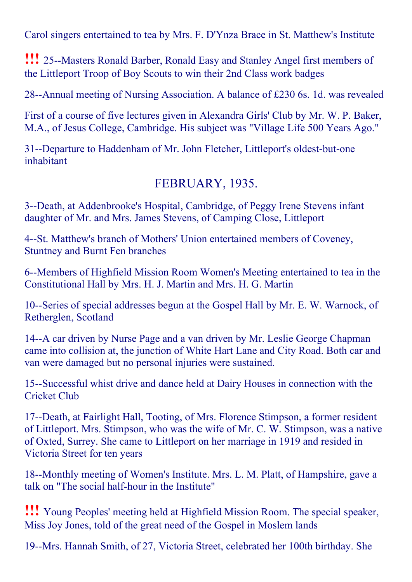Carol singers entertained to tea by Mrs. F. D'Ynza Brace in St. Matthew's Institute

**!!!** 25--Masters Ronald Barber, Ronald Easy and Stanley Angel first members of the Littleport Troop of Boy Scouts to win their 2nd Class work badges

28--Annual meeting of Nursing Association. A balance of  $£230$  6s. 1d. was revealed

First of a course of five lectures given in Alexandra Girls' Club by Mr. W. P. Baker, M.A., of Jesus College, Cambridge. His subject was "Village Life 500 Years Ago."

31--Departure to Haddenham of Mr. John Fletcher, Littleport's oldest-but-one inhabitant

### FEBRUARY, 1935.

3--Death, at Addenbrooke's Hospital, Cambridge, of Peggy Irene Stevens infant daughter of Mr. and Mrs. James Stevens, of Camping Close, Littleport

4--St. Matthew's branch of Mothers' Union entertained members of Coveney, Stuntney and Burnt Fen branches

6--Members of Highfield Mission Room Women's Meeting entertained to tea in the Constitutional Hall by Mrs. H. J. Martin and Mrs. H. G. Martin

10--Series of special addresses begun at the Gospel Hall by Mr. E. W. Warnock, of Retherglen, Scotland

14--A car driven by Nurse Page and a van driven by Mr. Leslie George Chapman came into collision at, the junction of White Hart Lane and City Road. Both car and van were damaged but no personal injuries were sustained.

15--Successful whist drive and dance held at Dairy Houses in connection with the Cricket Club

17--Death, at Fairlight Hall, Tooting, of Mrs. Florence Stimpson, a former resident of Littleport. Mrs. Stimpson, who was the wife of Mr. C. W. Stimpson, was a native of Oxted, Surrey. She came to Littleport on her marriage in 1919 and resided in Victoria Street for ten years

18--Monthly meeting of Women's Institute. Mrs. L. M. Platt, of Hampshire, gave a talk on "The social half-hour in the Institute"

!!! Young Peoples' meeting held at Highfield Mission Room. The special speaker, Miss Joy Jones, told of the great need of the Gospel in Moslem lands

19--Mrs. Hannah Smith, of 27, Victoria Street, celebrated her 100th birthday. She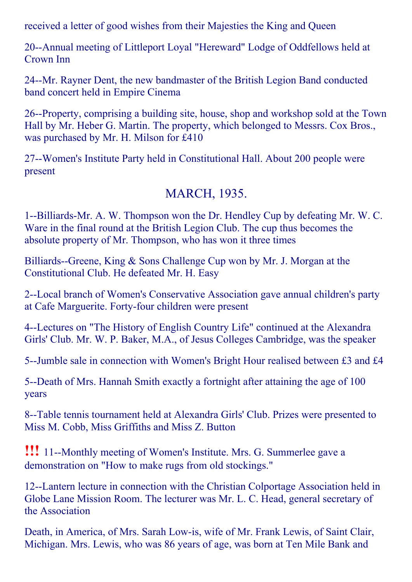received a letter of good wishes from their Majesties the King and Queen

20--Annual meeting of Littleport Loyal "Hereward" Lodge of Oddfellows held at Crown Inn

24--Mr. Rayner Dent, the new bandmaster of the British Legion Band conducted band concert held in Empire Cinema

26--Property, comprising a building site, house, shop and workshop sold at the Town Hall by Mr. Heber G. Martin. The property, which belonged to Messrs. Cox Bros., was purchased by Mr. H. Milson for £410

27--Women's Institute Party held in Constitutional Hall. About 200 people were present

### MARCH, 1935.

1--Billiards-Mr. A. W. Thompson won the Dr. Hendley Cup by defeating Mr. W. C. Ware in the final round at the British Legion Club. The cup thus becomes the absolute property of Mr. Thompson, who has won it three times

Billiards--Greene, King  $&$  Sons Challenge Cup won by Mr. J. Morgan at the Constitutional Club. He defeated Mr. H. Easy

2--Local branch of Women's Conservative Association gave annual children's party at Cafe Marguerite. Forty-four children were present

4Lectures on "The History of English Country Life" continued at the Alexandra Girls' Club. Mr. W. P. Baker, M.A., of Jesus Colleges Cambridge, was the speaker

5--Jumble sale in connection with Women's Bright Hour realised between £3 and £4

5--Death of Mrs. Hannah Smith exactly a fortnight after attaining the age of 100 years

8--Table tennis tournament held at Alexandra Girls' Club. Prizes were presented to Miss M. Cobb, Miss Griffiths and Miss Z. Button

**!!!** 11--Monthly meeting of Women's Institute. Mrs. G. Summerlee gave a demonstration on "How to make rugs from old stockings."

12--Lantern lecture in connection with the Christian Colportage Association held in Globe Lane Mission Room. The lecturer was Mr. L. C. Head, general secretary of the Association

Death, in America, of Mrs. Sarah Low-is, wife of Mr. Frank Lewis, of Saint Clair, Michigan. Mrs. Lewis, who was 86 years of age, was born at Ten Mile Bank and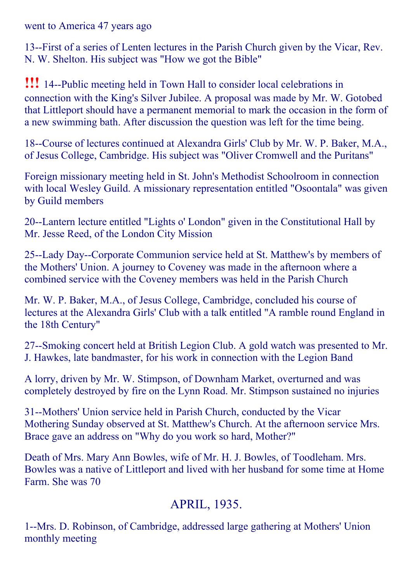went to America 47 years ago

13-First of a series of Lenten lectures in the Parish Church given by the Vicar, Rev. N. W. Shelton. His subject was "How we got the Bible"

**!!!** 14--Public meeting held in Town Hall to consider local celebrations in connection with the King's Silver Jubilee. A proposal was made by Mr. W. Gotobed that Littleport should have a permanent memorial to mark the occasion in the form of a new swimming bath. After discussion the question was left for the time being.

18--Course of lectures continued at Alexandra Girls' Club by Mr. W. P. Baker, M.A., of Jesus College, Cambridge. His subject was "Oliver Cromwell and the Puritans"

Foreign missionary meeting held in St. John's Methodist Schoolroom in connection with local Wesley Guild. A missionary representation entitled "Osoontala" was given by Guild members

20--Lantern lecture entitled "Lights o' London" given in the Constitutional Hall by Mr. Jesse Reed, of the London City Mission

25--Lady Day--Corporate Communion service held at St. Matthew's by members of the Mothers' Union. A journey to Coveney was made in the afternoon where a combined service with the Coveney members was held in the Parish Church

Mr. W. P. Baker, M.A., of Jesus College, Cambridge, concluded his course of lectures at the Alexandra Girls' Club with a talk entitled "A ramble round England in the 18th Century"

27--Smoking concert held at British Legion Club. A gold watch was presented to Mr. J. Hawkes, late bandmaster, for his work in connection with the Legion Band

A lorry, driven by Mr. W. Stimpson, of Downham Market, overturned and was completely destroyed by fire on the Lynn Road. Mr. Stimpson sustained no injuries

31--Mothers' Union service held in Parish Church, conducted by the Vicar Mothering Sunday observed at St. Matthew's Church. At the afternoon service Mrs. Brace gave an address on "Why do you work so hard, Mother?"

Death of Mrs. Mary Ann Bowles, wife of Mr. H. J. Bowles, of Toodleham. Mrs. Bowles was a native of Littleport and lived with her husband for some time at Home Farm. She was 70

## APRIL, 1935.

1--Mrs. D. Robinson, of Cambridge, addressed large gathering at Mothers' Union monthly meeting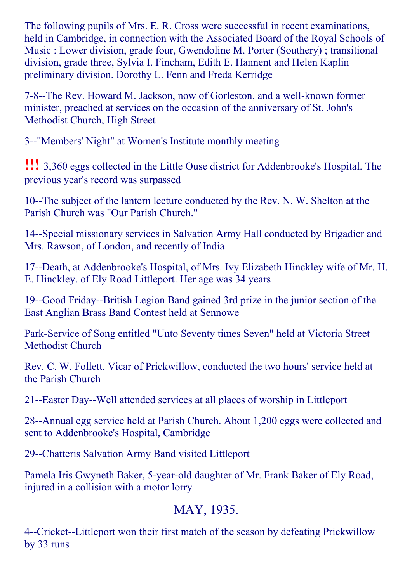The following pupils of Mrs. E. R. Cross were successful in recent examinations, held in Cambridge, in connection with the Associated Board of the Royal Schools of Music : Lower division, grade four, Gwendoline M. Porter (Southery) ; transitional division, grade three, Sylvia I. Fincham, Edith E. Hannent and Helen Kaplin preliminary division. Dorothy L. Fenn and Freda Kerridge

7-8--The Rev. Howard M. Jackson, now of Gorleston, and a well-known former minister, preached at services on the occasion of the anniversary of St. John's Methodist Church, High Street

3--"Members' Night" at Women's Institute monthly meeting

!!! 3,360 eggs collected in the Little Ouse district for Addenbrooke's Hospital. The previous year's record was surpassed

10--The subject of the lantern lecture conducted by the Rev. N. W. Shelton at the Parish Church was "Our Parish Church."

14--Special missionary services in Salvation Army Hall conducted by Brigadier and Mrs. Rawson, of London, and recently of India

17--Death, at Addenbrooke's Hospital, of Mrs. Ivy Elizabeth Hinckley wife of Mr. H. E. Hinckley. of Ely Road Littleport. Her age was 34 years

19--Good Friday--British Legion Band gained 3rd prize in the junior section of the East Anglian Brass Band Contest held at Sennowe

Park-Service of Song entitled "Unto Seventy times Seven" held at Victoria Street Methodist Church

Rev. C. W. Follett. Vicar of Prickwillow, conducted the two hours' service held at the Parish Church

21--Easter Day--Well attended services at all places of worship in Littleport

28--Annual egg service held at Parish Church. About 1,200 eggs were collected and sent to Addenbrooke's Hospital, Cambridge

29--Chatteris Salvation Army Band visited Littleport

Pamela Iris Gwyneth Baker, 5-year-old daughter of Mr. Frank Baker of Ely Road, injured in a collision with a motor lorry

## MAY, 1935.

4--Cricket--Littleport won their first match of the season by defeating Prickwillow by 33 runs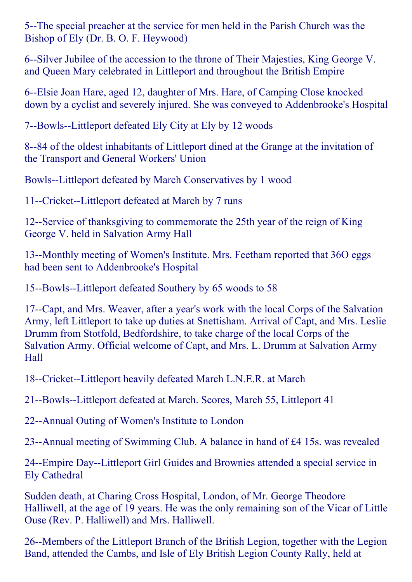5--The special preacher at the service for men held in the Parish Church was the Bishop of Ely (Dr. B. O. F. Heywood)

6--Silver Jubilee of the accession to the throne of Their Majesties, King George V. and Queen Mary celebrated in Littleport and throughout the British Empire

6--Elsie Joan Hare, aged 12, daughter of Mrs. Hare, of Camping Close knocked down by a cyclist and severely injured. She was conveyed to Addenbrooke's Hospital

7--Bowls--Littleport defeated Ely City at Ely by 12 woods

8--84 of the oldest inhabitants of Littleport dined at the Grange at the invitation of the Transport and General Workers' Union

Bowls--Littleport defeated by March Conservatives by 1 wood

11--Cricket--Littleport defeated at March by 7 runs

12--Service of thanksgiving to commemorate the 25th year of the reign of King George V. held in Salvation Army Hall

13--Monthly meeting of Women's Institute. Mrs. Feetham reported that 36O eggs had been sent to Addenbrooke's Hospital

15--Bowls--Littleport defeated Southery by 65 woods to 58

17--Capt, and Mrs. Weaver, after a year's work with the local Corps of the Salvation Army, left Littleport to take up duties at Snettisham. Arrival of Capt, and Mrs. Leslie Drumm from Stotfold, Bedfordshire, to take charge of the local Corps of the Salvation Army. Official welcome of Capt, and Mrs. L. Drumm at Salvation Army Hall

18--Cricket--Littleport heavily defeated March L.N.E.R. at March

21--Bowls--Littleport defeated at March. Scores, March 55, Littleport 41

22--Annual Outing of Women's Institute to London

23--Annual meeting of Swimming Club. A balance in hand of  $\text{\pounds}4$  15s. was revealed

24--Empire Day--Littleport Girl Guides and Brownies attended a special service in Ely Cathedral

Sudden death, at Charing Cross Hospital, London, of Mr. George Theodore Halliwell, at the age of 19 years. He was the only remaining son of the Vicar of Little Ouse (Rev. P. Halliwell) and Mrs. Halliwell.

26--Members of the Littleport Branch of the British Legion, together with the Legion Band, attended the Cambs, and Isle of Ely British Legion County Rally, held at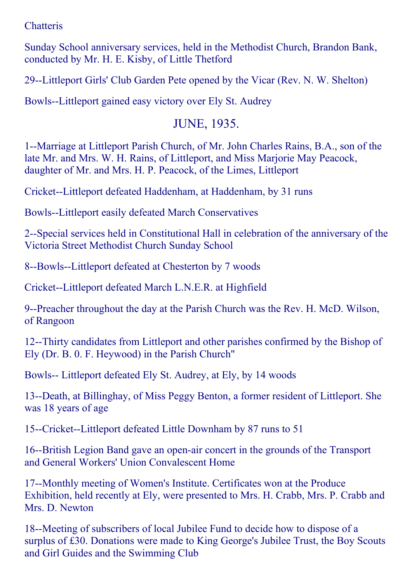### **Chatteris**

Sunday School anniversary services, held in the Methodist Church, Brandon Bank, conducted by Mr. H. E. Kisby, of Little Thetford

29--Littleport Girls' Club Garden Pete opened by the Vicar (Rev. N. W. Shelton)

Bowls--Littleport gained easy victory over Ely St. Audrey

### JUNE, 1935.

1--Marriage at Littleport Parish Church, of Mr. John Charles Rains, B.A., son of the late Mr. and Mrs. W. H. Rains, of Littleport, and Miss Marjorie May Peacock, daughter of Mr. and Mrs. H. P. Peacock, of the Limes, Littleport

Cricket--Littleport defeated Haddenham, at Haddenham, by 31 runs

Bowls--Littleport easily defeated March Conservatives

2--Special services held in Constitutional Hall in celebration of the anniversary of the Victoria Street Methodist Church Sunday School

8--Bowls--Littleport defeated at Chesterton by 7 woods

Cricket--Littleport defeated March L.N.E.R. at Highfield

9--Preacher throughout the day at the Parish Church was the Rev. H. McD. Wilson, of Rangoon

12--Thirty candidates from Littleport and other parishes confirmed by the Bishop of Ely (Dr. B. 0. F. Heywood) in the Parish Church"

Bowls-- Littleport defeated Ely St. Audrey, at Ely, by 14 woods

13--Death, at Billinghay, of Miss Peggy Benton, a former resident of Littleport. She was 18 years of age

15--Cricket--Littleport defeated Little Downham by 87 runs to 51

16--British Legion Band gave an open-air concert in the grounds of the Transport and General Workers' Union Convalescent Home

17--Monthly meeting of Women's Institute. Certificates won at the Produce Exhibition, held recently at Ely, were presented to Mrs. H. Crabb, Mrs. P. Crabb and Mrs. D. Newton

18--Meeting of subscribers of local Jubilee Fund to decide how to dispose of a surplus of £30. Donations were made to King George's Jubilee Trust, the Boy Scouts and Girl Guides and the Swimming Club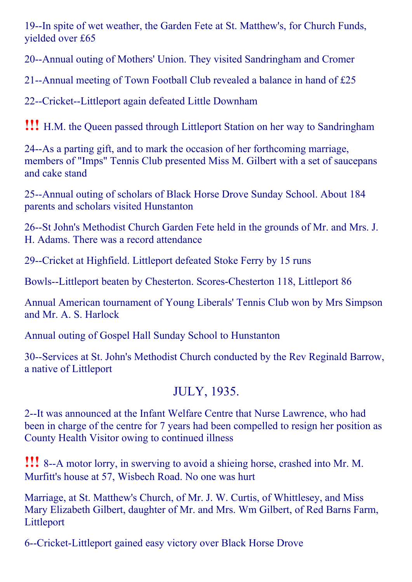19--In spite of wet weather, the Garden Fete at St. Matthew's, for Church Funds, yielded over £65

20--Annual outing of Mothers' Union. They visited Sandringham and Cromer

21--Annual meeting of Town Football Club revealed a balance in hand of  $£25$ 

22--Cricket--Littleport again defeated Little Downham

!!! H.M. the Queen passed through Littleport Station on her way to Sandringham

24--As a parting gift, and to mark the occasion of her forthcoming marriage, members of "Imps" Tennis Club presented Miss M. Gilbert with a set of saucepans and cake stand

25--Annual outing of scholars of Black Horse Drove Sunday School. About 184 parents and scholars visited Hunstanton

26--St John's Methodist Church Garden Fete held in the grounds of Mr. and Mrs. J. H. Adams. There was a record attendance

29--Cricket at Highfield. Littleport defeated Stoke Ferry by 15 runs

Bowls--Littleport beaten by Chesterton. Scores-Chesterton 118, Littleport 86

Annual American tournament of Young Liberals' Tennis Club won by Mrs Simpson and Mr. A. S. Harlock

Annual outing of Gospel Hall Sunday School to Hunstanton

30--Services at St. John's Methodist Church conducted by the Rev Reginald Barrow, a native of Littleport

# JULY, 1935.

2--It was announced at the Infant Welfare Centre that Nurse Lawrence, who had been in charge of the centre for 7 years had been compelled to resign her position as County Health Visitor owing to continued illness

**!!!** 8--A motor lorry, in swerving to avoid a shieing horse, crashed into Mr. M. Murfitt's house at 57, Wisbech Road. No one was hurt

Marriage, at St. Matthew's Church, of Mr. J. W. Curtis, of Whittlesey, and Miss Mary Elizabeth Gilbert, daughter of Mr. and Mrs. Wm Gilbert, of Red Barns Farm, Littleport

6--Cricket-Littleport gained easy victory over Black Horse Drove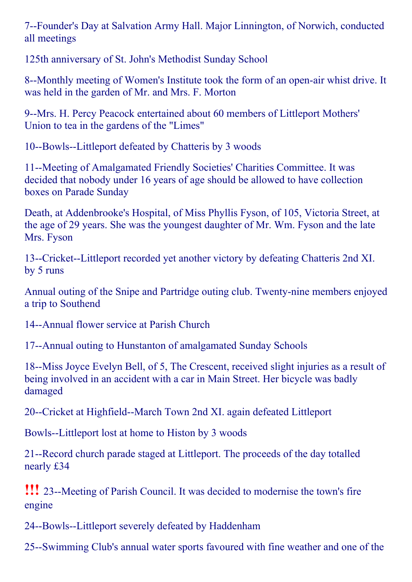7--Founder's Day at Salvation Army Hall. Major Linnington, of Norwich, conducted all meetings

125th anniversary of St. John's Methodist Sunday School

8--Monthly meeting of Women's Institute took the form of an open-air whist drive. It was held in the garden of Mr. and Mrs. F. Morton

9--Mrs. H. Percy Peacock entertained about 60 members of Littleport Mothers' Union to tea in the gardens of the "Limes"

10--Bowls--Littleport defeated by Chatteris by 3 woods

11--Meeting of Amalgamated Friendly Societies' Charities Committee. It was decided that nobody under 16 years of age should be allowed to have collection boxes on Parade Sunday

Death, at Addenbrooke's Hospital, of Miss Phyllis Fyson, of 105, Victoria Street, at the age of 29 years. She was the youngest daughter of Mr. Wm. Fyson and the late Mrs. Fyson

13--Cricket--Littleport recorded yet another victory by defeating Chatteris 2nd XI. by 5 runs

Annual outing of the Snipe and Partridge outing club. Twenty-nine members enjoyed a trip to Southend

14--Annual flower service at Parish Church

17--Annual outing to Hunstanton of amalgamated Sunday Schools

18--Miss Joyce Evelyn Bell, of 5, The Crescent, received slight injuries as a result of being involved in an accident with a car in Main Street. Her bicycle was badly damaged

20--Cricket at Highfield--March Town 2nd XI. again defeated Littleport

Bowls--Littleport lost at home to Histon by 3 woods

21--Record church parade staged at Littleport. The proceeds of the day totalled nearly £34

**!!!** 23--Meeting of Parish Council. It was decided to modernise the town's fire engine

24--Bowls--Littleport severely defeated by Haddenham

25-Swimming Club's annual water sports favoured with fine weather and one of the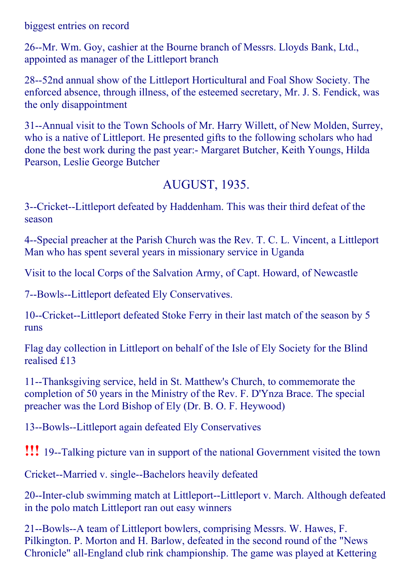biggest entries on record

26--Mr. Wm. Goy, cashier at the Bourne branch of Messrs. Lloyds Bank, Ltd., appointed as manager of the Littleport branch

28--52nd annual show of the Littleport Horticultural and Foal Show Society. The enforced absence, through illness, of the esteemed secretary, Mr. J. S. Fendick, was the only disappointment

31--Annual visit to the Town Schools of Mr. Harry Willett, of New Molden, Surrey, who is a native of Littleport. He presented gifts to the following scholars who had done the best work during the past year: Margaret Butcher, Keith Youngs, Hilda Pearson, Leslie George Butcher

### AUGUST, 1935.

3--Cricket--Littleport defeated by Haddenham. This was their third defeat of the season

4--Special preacher at the Parish Church was the Rev. T. C. L. Vincent, a Littleport Man who has spent several years in missionary service in Uganda

Visit to the local Corps of the Salvation Army, of Capt. Howard, of Newcastle

7--Bowls--Littleport defeated Ely Conservatives.

10--Cricket--Littleport defeated Stoke Ferry in their last match of the season by 5 runs

Flag day collection in Littleport on behalf of the Isle of Ely Society for the Blind realised £13

11--Thanksgiving service, held in St. Matthew's Church, to commemorate the completion of 50 years in the Ministry of the Rev. F. D'Ynza Brace. The special preacher was the Lord Bishop of Ely (Dr. B. O. F. Heywood)

13--Bowls--Littleport again defeated Ely Conservatives

**!!!** 19--Talking picture van in support of the national Government visited the town

Cricket--Married v. single--Bachelors heavily defeated

20--Inter-club swimming match at Littleport--Littleport v. March. Although defeated in the polo match Littleport ran out easy winners

21--Bowls--A team of Littleport bowlers, comprising Messrs. W. Hawes, F. Pilkington. P. Morton and H. Barlow, defeated in the second round of the "News Chronicle" all-England club rink championship. The game was played at Kettering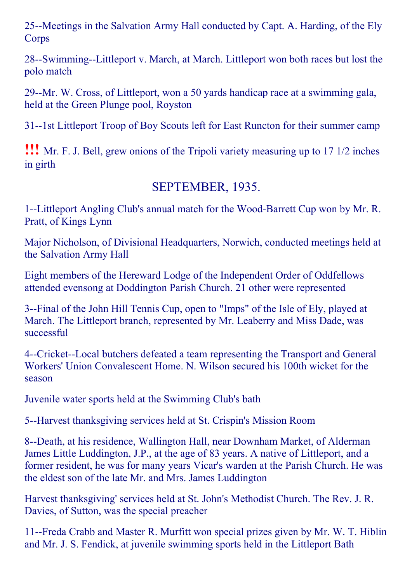25--Meetings in the Salvation Army Hall conducted by Capt. A. Harding, of the Ely Corps

28--Swimming--Littleport v. March, at March. Littleport won both races but lost the polo match

29--Mr. W. Cross, of Littleport, won a 50 yards handicap race at a swimming gala, held at the Green Plunge pool, Royston

31--1st Littleport Troop of Boy Scouts left for East Runcton for their summer camp

!!! Mr. F. J. Bell, grew onions of the Tripoli variety measuring up to <sup>17</sup> 1/2 inches in girth

### SEPTEMBER, 1935.

1--Littleport Angling Club's annual match for the Wood-Barrett Cup won by Mr. R. Pratt, of Kings Lynn

Major Nicholson, of Divisional Headquarters, Norwich, conducted meetings held at the Salvation Army Hall

Eight members of the Hereward Lodge of the Independent Order of Oddfellows attended evensong at Doddington Parish Church. 21 other were represented

3--Final of the John Hill Tennis Cup, open to "Imps" of the Isle of Ely, played at March. The Littleport branch, represented by Mr. Leaberry and Miss Dade, was successful

4--Cricket--Local butchers defeated a team representing the Transport and General Workers' Union Convalescent Home. N. Wilson secured his 100th wicket for the season

Juvenile water sports held at the Swimming Club's bath

5--Harvest thanksgiving services held at St. Crispin's Mission Room

8--Death, at his residence, Wallington Hall, near Downham Market, of Alderman James Little Luddington, J.P., at the age of 83 years. A native of Littleport, and a former resident, he was for many years Vicar's warden at the Parish Church. He was the eldest son of the late Mr. and Mrs. James Luddington

Harvest thanksgiving' services held at St. John's Methodist Church. The Rev. J. R. Davies, of Sutton, was the special preacher

11--Freda Crabb and Master R. Murfitt won special prizes given by Mr. W. T. Hiblin and Mr. J. S. Fendick, at juvenile swimming sports held in the Littleport Bath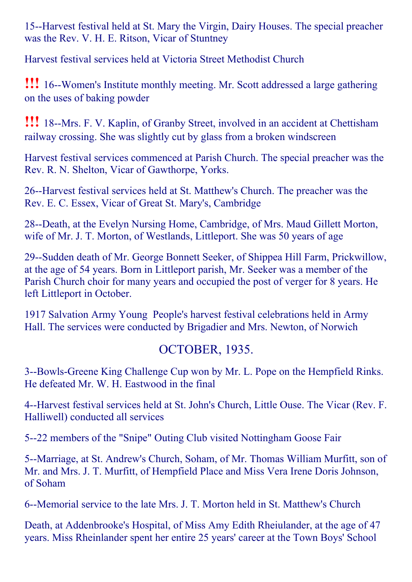15--Harvest festival held at St. Mary the Virgin, Dairy Houses. The special preacher was the Rev. V. H. E. Ritson, Vicar of Stuntney

Harvest festival services held at Victoria Street Methodist Church

**!!!** 16--Women's Institute monthly meeting. Mr. Scott addressed a large gathering on the uses of baking powder

**!!!** 18--Mrs. F. V. Kaplin, of Granby Street, involved in an accident at Chettisham railway crossing. She was slightly cut by glass from a broken windscreen

Harvest festival services commenced at Parish Church. The special preacher was the Rev. R. N. Shelton, Vicar of Gawthorpe, Yorks.

26--Harvest festival services held at St. Matthew's Church. The preacher was the Rev. E. C. Essex, Vicar of Great St. Mary's, Cambridge

28--Death, at the Evelyn Nursing Home, Cambridge, of Mrs. Maud Gillett Morton, wife of Mr. J. T. Morton, of Westlands, Littleport. She was 50 years of age

29--Sudden death of Mr. George Bonnett Seeker, of Shippea Hill Farm, Prickwillow, at the age of 54 years. Born in Littleport parish, Mr. Seeker was a member of the Parish Church choir for many years and occupied the post of verger for 8 years. He left Littleport in October.

1917 Salvation Army Young People's harvest festival celebrations held in Army Hall. The services were conducted by Brigadier and Mrs. Newton, of Norwich

## OCTOBER, 1935.

3--Bowls-Greene King Challenge Cup won by Mr. L. Pope on the Hempfield Rinks. He defeated Mr. W. H. Eastwood in the final

4--Harvest festival services held at St. John's Church, Little Ouse. The Vicar (Rev. F. Halliwell) conducted all services

5--22 members of the "Snipe" Outing Club visited Nottingham Goose Fair

5--Marriage, at St. Andrew's Church, Soham, of Mr. Thomas William Murfitt, son of Mr. and Mrs. J. T. Murfitt, of Hempfield Place and Miss Vera Irene Doris Johnson, of Soham

6--Memorial service to the late Mrs. J. T. Morton held in St. Matthew's Church

Death, at Addenbrooke's Hospital, of Miss Amy Edith Rheiulander, at the age of 47 years. Miss Rheinlander spent her entire 25 years' career at the Town Boys' School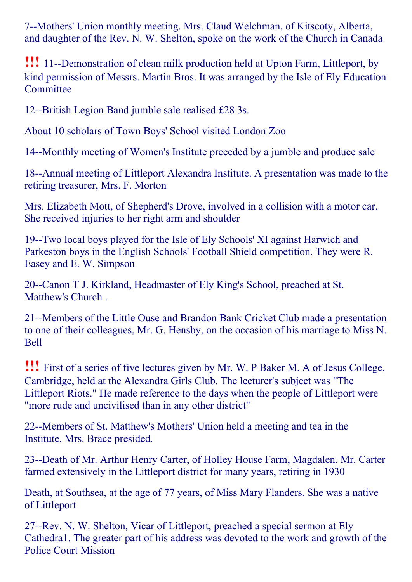7--Mothers' Union monthly meeting. Mrs. Claud Welchman, of Kitscoty, Alberta, and daughter of the Rev. N. W. Shelton, spoke on the work of the Church in Canada

**!!!** 11--Demonstration of clean milk production held at Upton Farm, Littleport, by kind permission of Messrs. Martin Bros. It was arranged by the Isle of Ely Education **Committee** 

12--British Legion Band jumble sale realised £28 3s.

About 10 scholars of Town Boys' School visited London Zoo

14--Monthly meeting of Women's Institute preceded by a jumble and produce sale

18--Annual meeting of Littleport Alexandra Institute. A presentation was made to the retiring treasurer, Mrs. F. Morton

Mrs. Elizabeth Mott, of Shepherd's Drove, involved in a collision with a motor car. She received injuries to her right arm and shoulder

19--Two local boys played for the Isle of Ely Schools' XI against Harwich and Parkeston boys in the English Schools' Football Shield competition. They were R. Easey and E. W. Simpson

20--Canon T J. Kirkland, Headmaster of Ely King's School, preached at St. Matthew's Church .

21--Members of the Little Ouse and Brandon Bank Cricket Club made a presentation to one of their colleagues, Mr. G. Hensby, on the occasion of his marriage to Miss N. Bell

!!! First of <sup>a</sup> series of five lectures given by Mr. W. <sup>P</sup> Baker M. <sup>A</sup> of Jesus College, Cambridge, held at the Alexandra Girls Club. The lecturer's subject was "The Littleport Riots." He made reference to the days when the people of Littleport were "more rude and uncivilised than in any other district"

22--Members of St. Matthew's Mothers' Union held a meeting and tea in the Institute. Mrs. Brace presided.

23--Death of Mr. Arthur Henry Carter, of Holley House Farm, Magdalen. Mr. Carter farmed extensively in the Littleport district for many years, retiring in 1930

Death, at Southsea, at the age of 77 years, of Miss Mary Flanders. She was a native of Littleport

27--Rev. N. W. Shelton, Vicar of Littleport, preached a special sermon at Ely Cathedra1. The greater part of his address was devoted to the work and growth of the Police Court Mission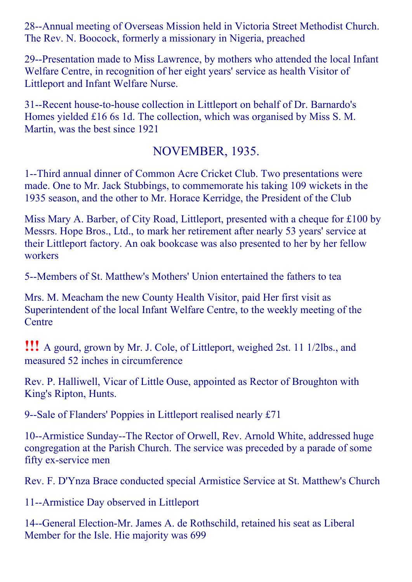28--Annual meeting of Overseas Mission held in Victoria Street Methodist Church. The Rev. N. Boocock, formerly a missionary in Nigeria, preached

29--Presentation made to Miss Lawrence, by mothers who attended the local Infant Welfare Centre, in recognition of her eight years' service as health Visitor of Littleport and Infant Welfare Nurse.

31--Recent house-to-house collection in Littleport on behalf of Dr. Barnardo's Homes yielded £16 6s 1d. The collection, which was organised by Miss S. M. Martin, was the best since 1921

### NOVEMBER, 1935.

1--Third annual dinner of Common Acre Cricket Club. Two presentations were made. One to Mr. Jack Stubbings, to commemorate his taking 109 wickets in the 1935 season, and the other to Mr. Horace Kerridge, the President of the Club

Miss Mary A. Barber, of City Road, Littleport, presented with a cheque for £100 by Messrs. Hope Bros., Ltd., to mark her retirement after nearly 53 years' service at their Littleport factory. An oak bookcase was also presented to her by her fellow workers

5--Members of St. Matthew's Mothers' Union entertained the fathers to tea

Mrs. M. Meacham the new County Health Visitor, paid Her first visit as Superintendent of the local Infant Welfare Centre, to the weekly meeting of the **Centre** 

!!! <sup>A</sup> gourd, grown by Mr. J. Cole, of Littleport, weighed 2st. <sup>11</sup> 1/2lbs., and measured 52 inches in circumference

Rev. P. Halliwell, Vicar of Little Ouse, appointed as Rector of Broughton with King's Ripton, Hunts.

9--Sale of Flanders' Poppies in Littleport realised nearly £71

10--Armistice Sunday--The Rector of Orwell, Rev. Arnold White, addressed huge congregation at the Parish Church. The service was preceded by a parade of some fifty ex-service men

Rev. F. D'Ynza Brace conducted special Armistice Service at St. Matthew's Church

11--Armistice Day observed in Littleport

14--General Election-Mr. James A. de Rothschild, retained his seat as Liberal Member for the Isle. Hie majority was 699